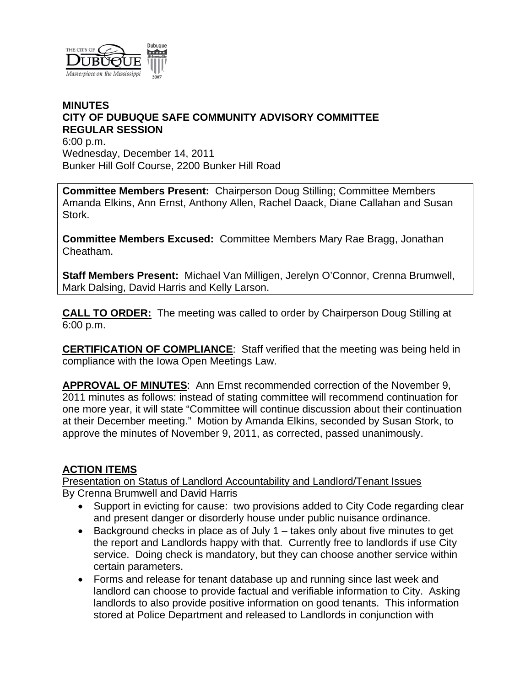

## **MINUTES CITY OF DUBUQUE SAFE COMMUNITY ADVISORY COMMITTEE REGULAR SESSION**

6:00 p.m. Wednesday, December 14, 2011 Bunker Hill Golf Course, 2200 Bunker Hill Road

**Committee Members Present:** Chairperson Doug Stilling; Committee Members Amanda Elkins, Ann Ernst, Anthony Allen, Rachel Daack, Diane Callahan and Susan Stork.

**Committee Members Excused:** Committee Members Mary Rae Bragg, Jonathan Cheatham.

**Staff Members Present:** Michael Van Milligen, Jerelyn O'Connor, Crenna Brumwell, Mark Dalsing, David Harris and Kelly Larson.

**CALL TO ORDER:** The meeting was called to order by Chairperson Doug Stilling at 6:00 p.m.

**CERTIFICATION OF COMPLIANCE**: Staff verified that the meeting was being held in compliance with the Iowa Open Meetings Law.

**APPROVAL OF MINUTES**: Ann Ernst recommended correction of the November 9, 2011 minutes as follows: instead of stating committee will recommend continuation for one more year, it will state "Committee will continue discussion about their continuation at their December meeting." Motion by Amanda Elkins, seconded by Susan Stork, to approve the minutes of November 9, 2011, as corrected, passed unanimously.

## **ACTION ITEMS**

Presentation on Status of Landlord Accountability and Landlord/Tenant Issues By Crenna Brumwell and David Harris

- Support in evicting for cause: two provisions added to City Code regarding clear and present danger or disorderly house under public nuisance ordinance.
- $\bullet$  Background checks in place as of July 1 takes only about five minutes to get the report and Landlords happy with that. Currently free to landlords if use City service. Doing check is mandatory, but they can choose another service within certain parameters.
- Forms and release for tenant database up and running since last week and landlord can choose to provide factual and verifiable information to City. Asking landlords to also provide positive information on good tenants. This information stored at Police Department and released to Landlords in conjunction with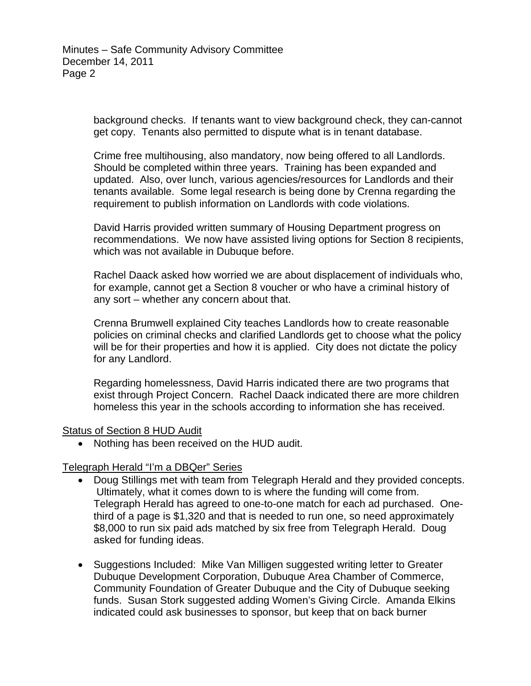background checks. If tenants want to view background check, they can-cannot get copy. Tenants also permitted to dispute what is in tenant database.

Crime free multihousing, also mandatory, now being offered to all Landlords. Should be completed within three years. Training has been expanded and updated. Also, over lunch, various agencies/resources for Landlords and their tenants available. Some legal research is being done by Crenna regarding the requirement to publish information on Landlords with code violations.

David Harris provided written summary of Housing Department progress on recommendations. We now have assisted living options for Section 8 recipients, which was not available in Dubuque before.

Rachel Daack asked how worried we are about displacement of individuals who, for example, cannot get a Section 8 voucher or who have a criminal history of any sort – whether any concern about that.

Crenna Brumwell explained City teaches Landlords how to create reasonable policies on criminal checks and clarified Landlords get to choose what the policy will be for their properties and how it is applied. City does not dictate the policy for any Landlord.

Regarding homelessness, David Harris indicated there are two programs that exist through Project Concern. Rachel Daack indicated there are more children homeless this year in the schools according to information she has received.

## Status of Section 8 HUD Audit

Nothing has been received on the HUD audit.

## Telegraph Herald "I'm a DBQer" Series

- Doug Stillings met with team from Telegraph Herald and they provided concepts. Ultimately, what it comes down to is where the funding will come from. Telegraph Herald has agreed to one-to-one match for each ad purchased. Onethird of a page is \$1,320 and that is needed to run one, so need approximately \$8,000 to run six paid ads matched by six free from Telegraph Herald. Doug asked for funding ideas.
- Suggestions Included: Mike Van Milligen suggested writing letter to Greater Dubuque Development Corporation, Dubuque Area Chamber of Commerce, Community Foundation of Greater Dubuque and the City of Dubuque seeking funds. Susan Stork suggested adding Women's Giving Circle. Amanda Elkins indicated could ask businesses to sponsor, but keep that on back burner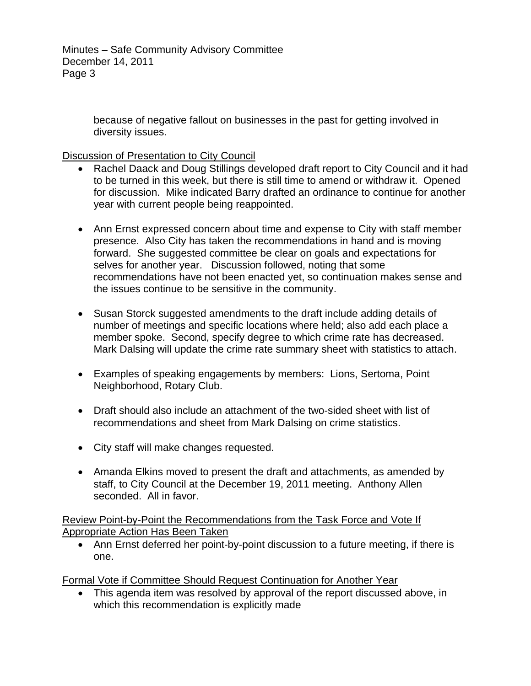because of negative fallout on businesses in the past for getting involved in diversity issues.

Discussion of Presentation to City Council

- Rachel Daack and Doug Stillings developed draft report to City Council and it had to be turned in this week, but there is still time to amend or withdraw it. Opened for discussion. Mike indicated Barry drafted an ordinance to continue for another year with current people being reappointed.
- Ann Ernst expressed concern about time and expense to City with staff member presence. Also City has taken the recommendations in hand and is moving forward. She suggested committee be clear on goals and expectations for selves for another year. Discussion followed, noting that some recommendations have not been enacted yet, so continuation makes sense and the issues continue to be sensitive in the community.
- Susan Storck suggested amendments to the draft include adding details of number of meetings and specific locations where held; also add each place a member spoke. Second, specify degree to which crime rate has decreased. Mark Dalsing will update the crime rate summary sheet with statistics to attach.
- Examples of speaking engagements by members: Lions, Sertoma, Point Neighborhood, Rotary Club.
- Draft should also include an attachment of the two-sided sheet with list of recommendations and sheet from Mark Dalsing on crime statistics.
- City staff will make changes requested.
- Amanda Elkins moved to present the draft and attachments, as amended by staff, to City Council at the December 19, 2011 meeting. Anthony Allen seconded. All in favor.

Review Point-by-Point the Recommendations from the Task Force and Vote If Appropriate Action Has Been Taken

 Ann Ernst deferred her point-by-point discussion to a future meeting, if there is one.

Formal Vote if Committee Should Request Continuation for Another Year

 This agenda item was resolved by approval of the report discussed above, in which this recommendation is explicitly made